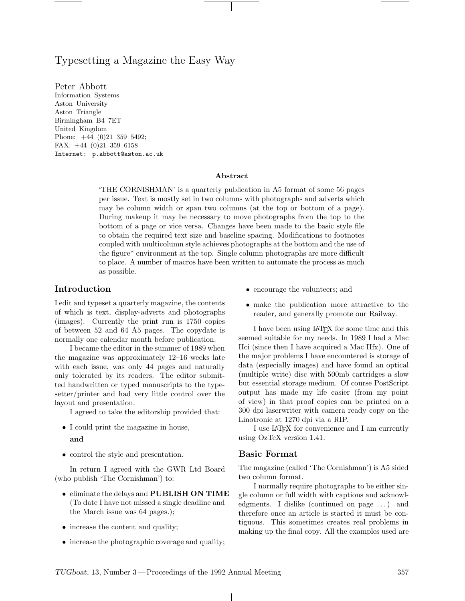# Typesetting a Magazine the Easy Way

Information Systems Aston University Aston Triangle Birmingham B4 7ET United Kingdom Phone: +44 (0)21 359 5492; FAX: +44 (0)21 359 6158 Internet: p.abbott@aston.ac.uk

#### **Abstract**

 $THE CORNISHMAN'$  is a quarterly publication in A5 format of some 56 pages per issue. Text is mostly set in two columns with photographs and adverts which may be column width or span two columns (at the top or bottom of a page). During makeup it may be necessary to move photographs from the top to the bottom of a page or vice versa. Changes have been made to the basic style file to obtain the required text size and baseline spacing. Modifications to footnotes coupled with multicolumn style achieves photographs at the bottom and the use of the figure\* environment at the top. Single column photographs are more difficult to place. A number of macros have been written to automate the process as much as possible.

### **Introduction**

I edit and typeset a quarterly magazine, the contents of which is text, display-adverts and photographs (images). Currently the print run is 1750 copies of between 52 and 64 A5 pages. The copydate is normally one calendar month before publication.

I became the editor in the summer of 1989 when the magazine was approximately  $12-16$  weeks late with each issue, was only 44 pages and naturally only tolerated by its readers. The editor submitted handwritten or typed manuscripts to the typesetter/printer and had very little control over the layout and presentation.

I agreed to take the editorship provided that:

- *•* I could print the magazine in house, **and**
- *•* control the style and presentation.

In return I agreed with the GWR Ltd Board (who publish 'The Cornishman') to:

- *•* eliminate the delays and **PUBLISH ON TIME** (To date I have not missed a single deadline and the March issue was 64 pages.);
- increase the content and quality;
- increase the photographic coverage and quality;
- encourage the volunteers; and
- *•* make the publication more attractive to the reader, and generally promote our Railway.

I have been using LATEX for some time and this seemed suitable for my needs. In 1989 I had a Mac IIci (since then I have acquired a Mac IIfx). One of the major problems I have encountered is storage of data (especially images) and have found an optical (multiple write) disc with 500mb cartridges a slow but essential storage medium. Of course PostScript output has made my life easier (from my point of view) in that proof copies can be printed on a 300 dpi laserwriter with camera ready copy on the Linotronic at 1270 dpi via a RIP.

I use LATEX for convenience and I am currently using OzTeX version 1.41.

### **Basic Format**

 $\mathbf{I}$ 

The magazine (called 'The Cornishman') is A5 sided two column format.

I normally require photographs to be either single column or full width with captions and acknowledgments. I dislike (continued on page ...) and therefore once an article is started it must be contiguous. This sometimes creates real problems in making up the final copy. All the examples used are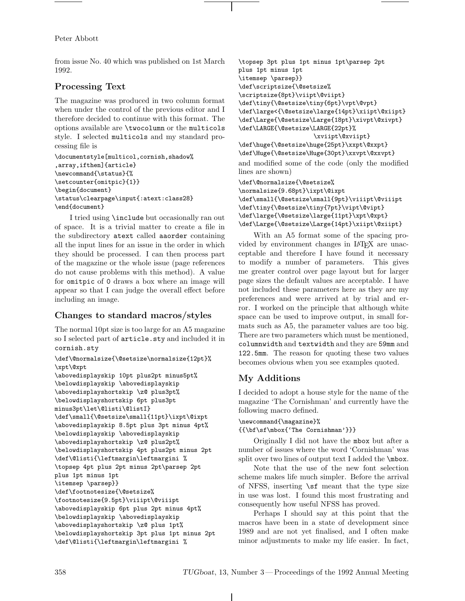Peter Abbott

from issue No. 40 which was published on 1st March 1992.

## **Processing Text**

The magazine was produced in two column format when under the control of the previous editor and I therefore decided to continue with this format. The options available are \twocolumn or the multicols style. I selected multicols and my standard processing file is

```
\documentstyle[multicol,cornish,shadow%
,array,ifthen]{article}
\newcommand{\status}{%
\setcounter{omitpic}{1}}
\begin{document}
\status\clearpage\input{:atext:class28}
\end{document}
```
I tried using \include but occasionally ran out of space. It is a trivial matter to create a file in the subdirectory atext called aaorder containing all the input lines for an issue in the order in which they should be processed. I can then process part of the magazine or the whole issue (page references do not cause problems with this method). A value for omitpic of 0 draws a box where an image will appear so that I can judge the overall effect before including an image.

# **Changes to standard macros/styles**

The normal 10pt size is too large for an A5 magazine so I selected part of article.sty and included it in cornish.sty

```
\def\@normalsize{\@setsize\normalsize{12pt}%
\xpt\@xpt
\abovedisplayskip 10pt plus2pt minus5pt%
\belowdisplayskip \abovedisplayskip
\abovedisplayshortskip \z@ plus3pt%
\belowdisplayshortskip 6pt plus3pt
minus3pt\let\@listi\@listI}
\def\small{\@setsize\small{11pt}\ixpt\@ixpt
\abovedisplayskip 8.5pt plus 3pt minus 4pt%
\belowdisplayskip \abovedisplayskip
\abovedisplayshortskip \z@ plus2pt%
\belowdisplayshortskip 4pt plus2pt minus 2pt
\def\@listi{\leftmargin\leftmargini %
\topsep 4pt plus 2pt minus 2pt\parsep 2pt
plus 1pt minus 1pt
\itemsep \parsep}}
\def\footnotesize{\@setsize%
\footnotesize{9.5pt}\viiipt\@viiipt
\abovedisplayskip 6pt plus 2pt minus 4pt%
\belowdisplayskip \abovedisplayskip
\abovedisplayshortskip \z@ plus 1pt%
\belowdisplayshortskip 3pt plus 1pt minus 2pt
\def\@listi{\leftmargin\leftmargini %
```

```
\topsep 3pt plus 1pt minus 1pt\parsep 2pt
plus 1pt minus 1pt
\itemsep \parsep}}
\def\scriptsize{\@setsize%
\scriptsize{8pt}\viipt\@viipt}
\def\tiny{\@setsize\tiny{6pt}\vpt\@vpt}
\def\large<{\@setsize\large{14pt}\xiipt\@xiipt}
\def\Large{\@setsize\Large{18pt}\xivpt\@xivpt}
\def\LARGE{\@setsize\LARGE{22pt}%
                     \xviipt\@xviipt}
\def\huge{\@setsize\huge{25pt}\xxpt\@xxpt}
\def\Huge{\@setsize\Huge{30pt}\xxvpt\@xxvpt}
and modified some of the code (only the modified
lines are shown)
```

```
\def\@normalsize{\@setsize%
\normalsize{9.68pt}\ixpt\@ixpt
\def\small{\@setsize\small{9pt}\viiipt\@viiipt
\def\tiny{\@setsize\tiny{7pt}\vipt\@vipt}
\def\large{\@setsize\large{11pt}\xpt\@xpt}
\def\Large{\@setsize\Large{14pt}\xiipt\@xiipt}
```
With an A5 format some of the spacing provided by environment changes in LATEX are unacceptable and therefore I have found it necessary to modify a number of parameters. This gives me greater control over page layout but for larger page sizes the default values are acceptable. I have not included these parameters here as they are my preferences and were arrived at by trial and error. I worked on the principle that although white space can be used to improve output, in small formats such as A5, the parameter values are too big. There are two parameters which must be mentioned, columnwidth and textwidth and they are 59mm and 122.5mm. The reason for quoting these two values becomes obvious when you see examples quoted.

# **My Additions**

I decided to adopt a house style for the name of the magazine 'The Cornishman' and currently have the following macro defined.

#### \newcommand{\magazine}% {{\bf\sf\mbox{'The Cornishman'}}}

Originally I did not have the mbox but after a number of issues where the word 'Cornishman' was split over two lines of output text I added the **\mbox**.

Note that the use of the new font selection scheme makes life much simpler. Before the arrival of NFSS, inserting \sf meant that the type size in use was lost. I found this most frustrating and consequently how useful NFSS has proved.

Perhaps I should say at this point that the macros have been in a state of development since 1989 and are not yet finalised, and I often make minor adjustments to make my life easier. In fact,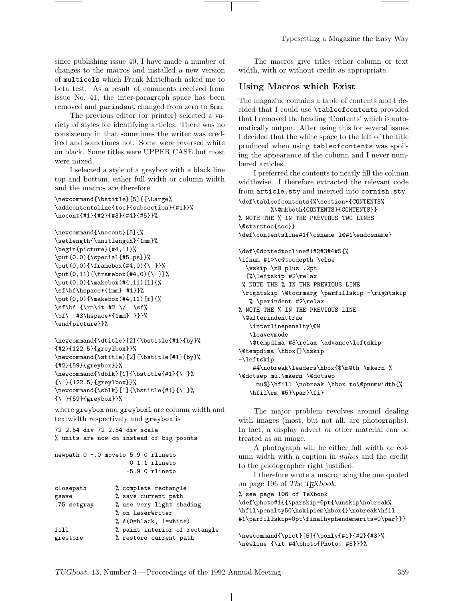Typesetting a Magazine the Easy Way

since publishing issue 40, I have made a number of changes to the macros and installed a new version of multicols which Frank Mittelbach asked me to beta test. As a result of comments received from issue No. 41, the inter-paragraph space has been removed and parindent changed from zero to 5mm.

The previous editor (or printer) selected a variety of styles for identifying articles. There was no consistency in that sometimes the writer was credited and sometimes not. Some were reversed white on black. Some titles were UPPER CASE but most were mixed.

I selected a style of a greybox with a black line top and bottom, either full width or column width and the macros are therefore

```
\newcommand{\bstitle}[5]{{\Large%
\addcontentsline{toc}{subsection}{#1}}%
\nocont{#1}{#2}{#3}{#4}{#5}}%
```

```
\newcommand{\nocont}[5]{%
\setlength{\unitlength}{1mm}%
\begin{picture}(#4,11)%
\put(0,0){\special{#5.ps}}%
\put(0,0){\framebox(#4,0){\ }}%
\put(0,11){\frac{meanbox(#4,0)}{\ } }\put(0,0){\makebox(#4,11)[l]{%
\sf\bf\hspace*{1mm} #1}}%
\put(0,0){\makebox(#4,11)[r]{%
\sf\bf {\rm\it #2 \/ \sf%
\bf\ #3\hspace*{1mm} }}}%
\end{picture}}%
```

```
\newcommand{\dtitle}[2]{\bstitle{#1}{by}%
{#2}{122.5}{greylbox}}%
\newcommand{\stitle}[2]{\bstitle{#1}{by}%
{#2}{59}{greybox}}%
\verb+\newcommand{{\db}k}[1]{\boldsymbol{\ast}{\bf 1}}\{\ }{122.5}{greylbox}}%
\newcommand{\sblk}[1]{\boldsymbol{\ell}} \newcommand{\sblk}[1]{\bstitle{#1}{\ }
{\ }{59}{greybox}}%
```
where greybox and greyboxl are column width and textwidth respectively and greybox is

72 2.54 div 72 2.54 div scale % units are now cm instead of big points

```
newpath 0 -.0 moveto 5.9 0 rlineto
                     0 1.1 rlineto
                    -5.9 0 rlineto
```

| closepath   | % complete rectangle          |
|-------------|-------------------------------|
| gsave       | % save current path           |
| .75 setgray | % use very light shading      |
|             | % on LaserWriter              |
|             | % A(0=black, 1=white)         |
| fill        | % paint interior of rectangle |
| grestore    | % restore current path        |

The macros give titles either column or text width, with or without credit as appropriate.

## **Using Macros which Exist**

The magazine contains a table of contents and I decided that I could use \tableofcontents provided that I removed the heading 'Contents' which is automatically output. After using this for several issues I decided that the white space to the left of the title produced when using tableofcontents was spoiling the appearance of the column and I never numbered articles.

I preferred the contents to neatly fill the column widthwise. I therefore extracted the relevant code from article.sty and inserted into cornish.sty \def\tableofcontents{%\section\*{CONTENTS% %\@mkboth{CONTENTS}{CONTENTS}} % NOTE THE % IN THE PREVIOUS TWO LINES \@starttoc{toc}} \def\contentsline#1{\csname l@#1\endcsname} \def\@dottedtocline#1#2#3#4#5{% \ifnum #1>\c@tocdepth \else \vskip \z@ plus .2pt {%\leftskip #2\relax % NOTE THE % IN THE PREVIOUS LINE \rightskip \@tocrmarg \parfillskip -\rightskip % \parindent #2\relax % NOTE THE % IN THE PREVIOUS LINE \@afterindenttrue \interlinepenalty\@M \leavevmode \@tempdima #3\relax \advance\leftskip \@tempdima \hbox{}\hskip -\leftskip #4\nobreak\leaders\hbox{\$\m@th \mkern % \@dotsep mu.\mkern \@dotsep mu\$}\hfill \nobreak \hbox to\@pnumwidth{% \hfil\rm #5}\par}\fi}

The major problem revolves around dealing with images (most, but not all, are photographs). In fact, a display advert or other material can be treated as an image.

A photograph will be either full width or column width with a caption in *italics* and the credit to the photographer right justified.

I therefore wrote a macro using the one quoted on page 106 of *The TEXbook*.

% see page 106 of TeXbook \def\photo#1{{\parskip=0pt{\unskip\nobreak% \hfil\penalty50\hskip1em\hbox{}\nobreak\hfil #1\parfillskip=0pt\finalhyphendemerits=0\par}}}

```
\newcommand{\pict}[5]{\ponly{#1}{#2}{#3}%
\newline {\it #4\photo{Photo: #5}}}%
```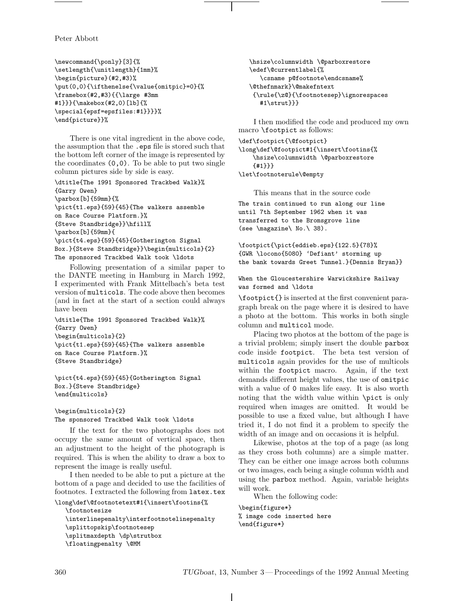Peter Abbott

```
\newcommand{\ponly}[3]{%
\setlength{\unitlength}{1mm}%
\begin{picture}(#2,#3)%
\put(0,0){\ifthenelse{\value{omitpic}=0}{%
\framebox(#2,#3){{\large #3mm
#1}}}{\makebox(#2,0)[lb]{%
\special{epsf=epsfiles:#1}}}}%
\end{picture}}%
```
There is one vital ingredient in the above code, the assumption that the .eps file is stored such that the bottom left corner of the image is represented by the coordinates (0,0). To be able to put two single column pictures side by side is easy.

\dtitle{The 1991 Sponsored Trackbed Walk}% {Garry Owen} \parbox[b]{59mm}{% \pict{t1.eps}{59}{45}{The walkers assemble on Race Course Platform.}% {Steve Standbridge}}\hfill% \parbox[b]{59mm}{ \pict{t4.eps}{59}{45}{Gotherington Signal Box.}{Steve Standbridge}}\begin{multicols}{2} The sponsored Trackbed Walk took \ldots

Following presentation of a similar paper to the DANTE meeting in Hamburg in March 1992, I experimented with Frank Mittelbach's beta test version of multicols. The code above then becomes (and in fact at the start of a section could always have been

\dtitle{The 1991 Sponsored Trackbed Walk}% {Garry Owen} \begin{multicols}{2} \pict{t1.eps}{59}{45}{The walkers assemble on Race Course Platform.}% {Steve Standbridge}

\pict{t4.eps}{59}{45}{Gotherington Signal Box.}{Steve Standbridge} \end{multicols}

\begin{multicols}{2}

The sponsored Trackbed Walk took \ldots

If the text for the two photographs does not occupy the same amount of vertical space, then an adjustment to the height of the photograph is required. This is when the ability to draw a box to represent the image is really useful.

I then needed to be able to put a picture at the bottom of a page and decided to use the facilities of footnotes. I extracted the following from latex.tex

```
\long\def\@footnotetext#1{\insert\footins{%
  \footnotesize
  \interlinepenalty\interfootnotelinepenalty
  \splittopskip\footnotesep
   \splitmaxdepth \dp\strutbox
  \floatingpenalty \@MM
```
\hsize\columnwidth \@parboxrestore \edef\@currentlabel{% \csname p@footnote\endcsname% \@thefnmark}\@makefntext {\rule{\z@}{\footnotesep}\ignorespaces #1\strut}}}

I then modified the code and produced my own macro \footpict as follows:

\def\footpict{\@footpict} \long\def\@footpict#1{\insert\footins{% \hsize\columnwidth \@parboxrestore

{#1}}}

\let\footnoterule\@empty

This means that in the source code

The train continued to run along our line until 7th September 1962 when it was transferred to the Bromsgrove line (see \magazine\ No.\ 38).

\footpict{\pict{eddieb.eps}{122.5}{78}% {GWR \locono{5080} 'Defiant' storming up the bank towards Greet Tunnel.}{Dennis Bryan}}

When the Gloucestershire Warwickshire Railway was formed and \ldots

\footpict{} is inserted at the first convenient paragraph break on the page where it is desired to have a photo at the bottom. This works in both single column and multicol mode.

Placing two photos at the bottom of the page is a trivial problem; simply insert the double parbox code inside footpict. The beta test version of multicols again provides for the use of multicols within the footpict macro. Again, if the text demands different height values, the use of omitpic with a value of 0 makes life easy. It is also worth noting that the width value within \pict is only required when images are omitted. It would be possible to use a fixed value, but although I have tried it, I do not find it a problem to specify the width of an image and on occasions it is helpful.

Likewise, photos at the top of a page (as long as they cross both columns) are a simple matter. They can be either one image across both columns or two images, each being a single column width and using the parbox method. Again, variable heights will work.

When the following code:

\begin{figure\*} % image code inserted here \end{figure\*}